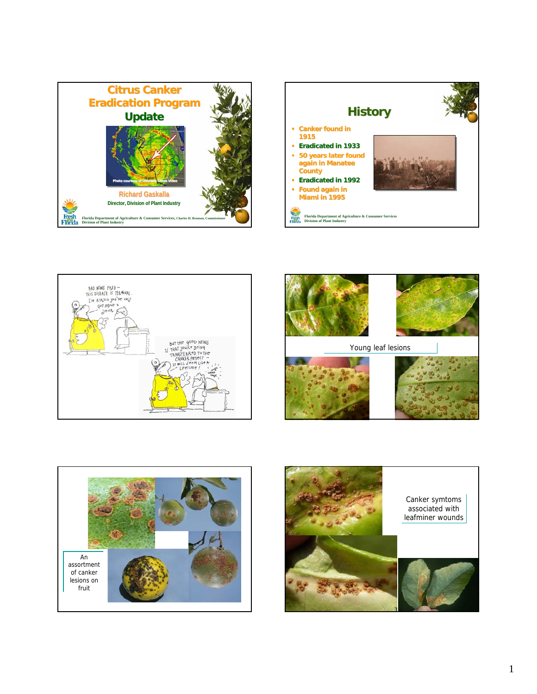









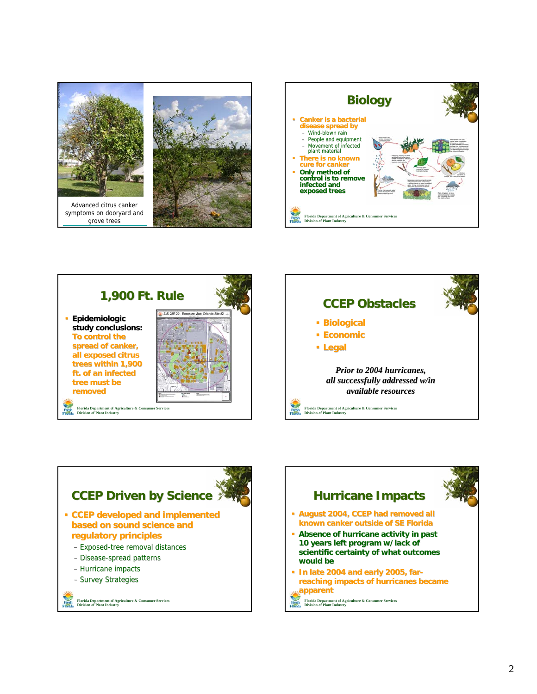









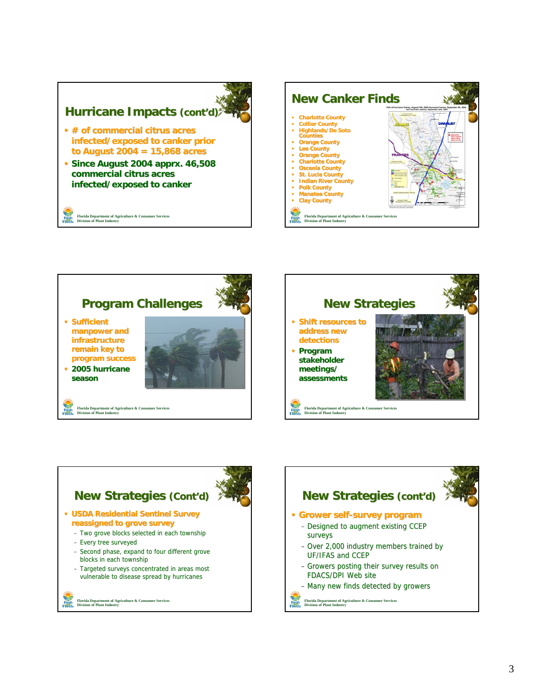## **Hurricane Impacts (cont'd)**

- **# of commercial citrus acres # of commercial citrus acres infected/exposed to canker prior prior to August 2004 = 15,868 acres**
- **Since August 2004 apprx. 46,508 . 46,508 commercial citrus acres infected/exposed to canker**

**Florida Department of Agriculture & Consumer Services Division of Plant Industry**









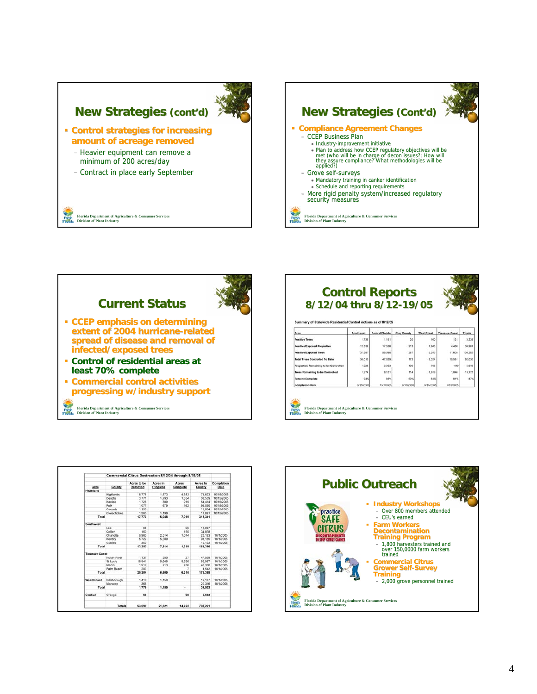



| <b>Control Reports</b>                                         |           |                        |                    |                   |                       |               |
|----------------------------------------------------------------|-----------|------------------------|--------------------|-------------------|-----------------------|---------------|
| 8/12/04 thru 8/12-19/05                                        |           |                        |                    |                   |                       |               |
|                                                                |           |                        |                    |                   |                       |               |
| Summary of Statewide Residential Control Actions as of 8/12/05 |           |                        |                    |                   |                       |               |
| Area                                                           | Southwest | <b>Central Florida</b> | <b>Clay County</b> | <b>West Coast</b> | <b>Treasure Coast</b> | <b>Totals</b> |
| <b>Positive Trees</b>                                          | 1.736     | 1,191                  | 20                 | 160               | 131                   | 3.238         |
| <b>Positive/Exposed Properties</b>                             | 12,839    | 17,526                 | 213                | 1.943             | 4,450                 | 36,981        |
| Positive/Exposed Trees                                         | 31,987    | 56,080                 | 287                | 5.243             | 11,605                | 105,202       |
| <b>Total Trees Controlled To Date</b>                          | 30.013    | 47.929                 | 173                | 3.324             | 10,591                | 92.030        |
| Properties Remaining to be Controlled                          | 1.028     | 3.303                  | 100                | 706               | 410                   | 5.646         |
| <b>Trees Remaining to be Controlled</b>                        | 1,974     | 8.151                  | 114                | 1.919             | 1.046                 | 13.172        |
|                                                                | 04%       | 85%                    | 60%                | 63%               | 91%                   | 87%           |
| <b>Percent Complete</b>                                        |           |                        | 9/15/2005          | 9/15/2005         | 9/15/2005             |               |

|                       |               | Acres to be | Acres in | Acres    | Acres In | Completion |
|-----------------------|---------------|-------------|----------|----------|----------|------------|
| Area<br>Heartland     | County        | Removed     | Progress | Complete | County   | Date       |
|                       | Highlands     | 8.778       | 1.573    | 4.583    | 74.623   | 10/15/2005 |
|                       | Desoto.       | 3.771       | 1,793    | 1.354    | 68.559   | 10/15/2005 |
|                       | Hardee        | 1.728       | 809      | 919      | 54.414   | 10/15/2005 |
|                       | Polk          | 1.077       | 675      | 162      | 95,050   | 10/15/2005 |
|                       | Osceola       | 1.150       |          |          | 13,804   | 10/15/2005 |
|                       | Okeechobee    | 1,265       | 1.199    |          | 11.891   | 10/15/2005 |
| Total                 |               | 17,770      | 6.048    | 7.019    | 318,341  |            |
| Southwest             |               |             |          |          |          |            |
|                       | Lee           | 95          |          | 95       | 11.067   |            |
|                       | Collier       | 150         |          | 150      | 34,878   |            |
|                       | Charlotte     | 6.965       | 2.514    | 1.074    | 20.183   | 10/1/2005  |
|                       | Hendry        | 5.722       | 5.300    |          | 93.155   | 10/1/2005  |
|                       | Glades.       | 350         |          |          | 10.103   | 10/1/2005  |
| Total                 |               | 13,282      | 7.814    | 1,319    | 169,386  |            |
| <b>Treasure Coast</b> |               |             |          |          |          |            |
|                       | Indian River  | 1 137       | 250      | 27       | 47.539   | 10/1/2005  |
|                       | St Lucie      | 16.941      | 5.646    | 5.526    | 82.987   | 10/1/2005  |
|                       | Martin        | 1.919       | 713      | 756      | 40,330   | 10/1/2005  |
|                       | Palm Beach    | 207         |          | ٠        | 4.542    | 10/1/2005  |
| Total                 |               | 20,204      | 6,609    | 6,316    | 175,398  |            |
| <b>West Coast</b>     | Hillsborough  | 1,410       | 1.150    |          | 19.187   | 10/1/2005  |
|                       | Manatee       | 366         |          |          | 20.316   | 10/1/2005  |
| Total                 |               | 1.776       | 1.150    | $\sim$   | 39,503   |            |
| Central               | Orange        | 68          |          | 68       | 5,593    |            |
|                       |               |             |          |          |          |            |
|                       | <b>Totals</b> | 53.099      | 21,621   | 14,722   | 708,221  |            |